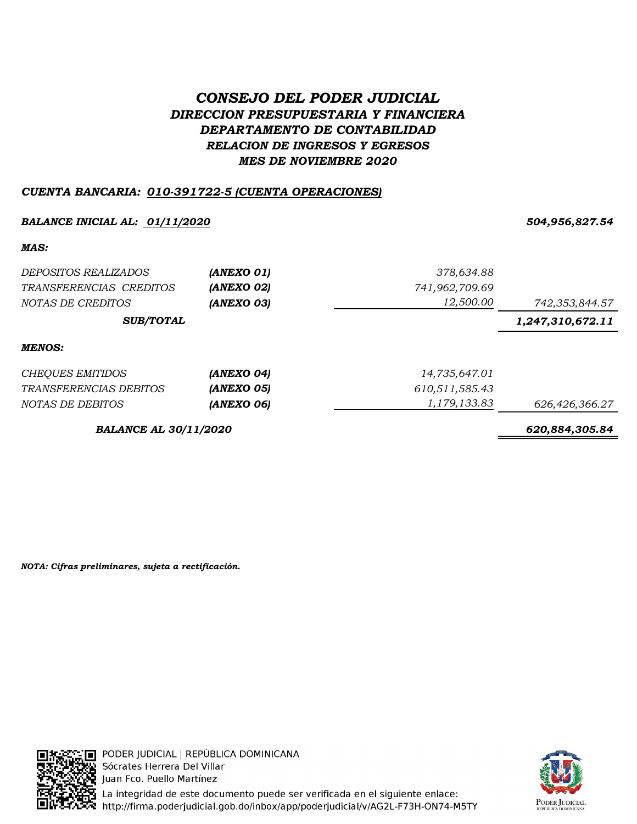# CONSEJO DEL PODER JUDICIAL DIRECCION PRESUPUESTARIA Y FINANCIERA DEPARTAMENTO DE CONTABILIDAD RELACION DE INGRESOS Y EGRESOS MES DE NOVIEMBRE 2020

# CUENTA BANCARIA: 010-391722-5 (CUENTA OPERACIONES)

### BALANCE INICIAL AL: 01/11/2020 504,956,827.54

MAS:

| DEPOSITOS REALIZADOS<br>TRANSFERENCIAS CREDITOS | (ANEXO 01)<br>(ANEXO 02) | 378,634.88<br>741,962,709.69<br>12,500.00 |                                    |
|-------------------------------------------------|--------------------------|-------------------------------------------|------------------------------------|
| NOTAS DE CREDITOS<br><b>SUB/TOTAL</b>           | (ANEXO 03)               |                                           | 742,353,844.57<br>1,247,310,672.11 |
| <b>MENOS:</b>                                   |                          |                                           |                                    |
| <b>CHEQUES EMITIDOS</b>                         | (ANEXO 04)               | 14,735,647.01                             |                                    |
| <i>TRANSFERENCIAS DEBITOS</i>                   | (ANEXO 05)               | 610,511,585.43                            |                                    |
| NOTAS DE DEBITOS                                | (ANEXO 06)               | 1,179,133.83                              | 626,426,366.27                     |
| <b>BALANCE AL 30/11/2020</b>                    |                          |                                           | 620,884,305.84                     |

NOTA: Cifras preliminares, sujeta a rectificación.



- ∏ PODER JUDICIAL | REPÚBLICA DOMINICANA Sócrates Herrera Del Villar Juan Fco. Puello Martínez **Pa** La integridad de este documento puede ser verificada en el siguiente enlace:<br>※ http://firma.poderjudicial.gob.do/inbox/app/poderjudicial/v/AG2L-F73H-ON74-M5TY

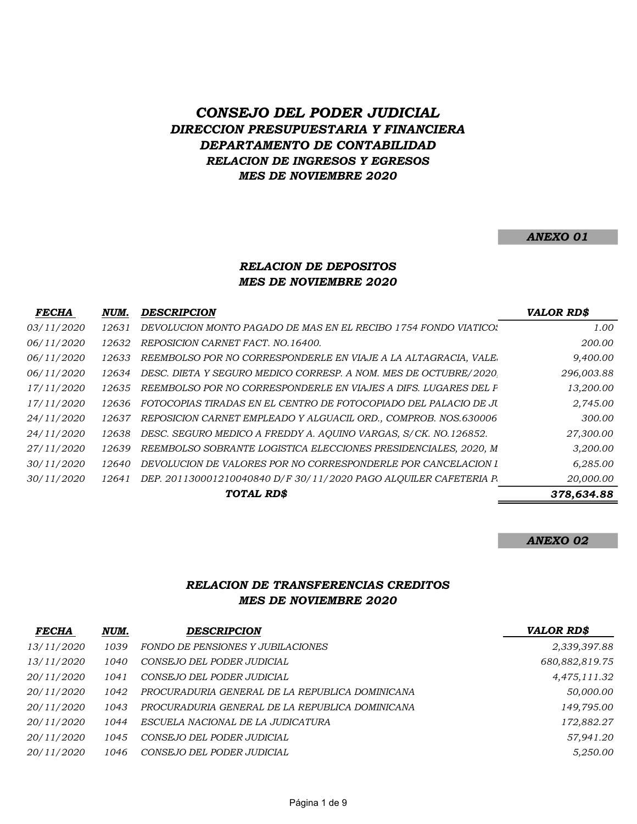# CONSEJO DEL PODER JUDICIAL DIRECCION PRESUPUESTARIA Y FINANCIERA DEPARTAMENTO DE CONTABILIDAD RELACION DE INGRESOS Y EGRESOS MES DE NOVIEMBRE 2020

#### ANEXO 01

#### RELACION DE DEPOSITOS MES DE NOVIEMBRE 2020

| <b>FECHA</b> | NUM.   | <b>DESCRIPCION</b>                                               | <b>VALOR RD\$</b> |
|--------------|--------|------------------------------------------------------------------|-------------------|
| 03/11/2020   | 12631  | DEVOLUCION MONTO PAGADO DE MAS EN EL RECIBO 1754 FONDO VIATICOS  | 1.00              |
| 06/11/2020   | 12632  | REPOSICION CARNET FACT. NO. 16400.                               | 200.00            |
| 06/11/2020   | 12633  | REEMBOLSO POR NO CORRESPONDERLE EN VIAJE A LA ALTAGRACIA, VALE.  | 9,400.00          |
| 06/11/2020   | 12634  | DESC. DIETA Y SEGURO MEDICO CORRESP. A NOM. MES DE OCTUBRE/2020. | 296,003.88        |
| 17/11/2020   | 12635  | REEMBOLSO POR NO CORRESPONDERLE EN VIAJES A DIFS. LUGARES DEL P  | 13,200.00         |
| 17/11/2020   | 12636- | FOTOCOPIAS TIRADAS EN EL CENTRO DE FOTOCOPIADO DEL PALACIO DE JU | 2,745.00          |
| 24/11/2020   | 12637  | REPOSICION CARNET EMPLEADO Y ALGUACIL ORD., COMPROB. NOS.630006  | 300.00            |
| 24/11/2020   | 12638  | DESC. SEGURO MEDICO A FREDDY A. AOUINO VARGAS, S/CK. NO.126852.  | 27,300.00         |
| 27/11/2020   | 12639  | REEMBOLSO SOBRANTE LOGISTICA ELECCIONES PRESIDENCIALES, 2020, M  | 3,200.00          |
| 30/11/2020   | 12640  | DEVOLUCION DE VALORES POR NO CORRESPONDERLE POR CANCELACION I    | 6,285.00          |
| 30/11/2020   | 12641  | DEP. 201130001210040840 D/F 30/11/2020 PAGO ALOUILER CAFETERIA R | 20,000.00         |
|              |        | TOTAL RD\$                                                       | 378,634.88        |

#### ANEXO 02

#### RELACION DE TRANSFERENCIAS CREDITOS MES DE NOVIEMBRE 2020

| <b>FECHA</b> | NUM. | DESCRIPCION                                     | <b>VALOR RD\$</b> |
|--------------|------|-------------------------------------------------|-------------------|
| 13/11/2020   | 1039 | FONDO DE PENSIONES Y JUBILACIONES               | 2,339,397.88      |
| 13/11/2020   | 1040 | CONSEJO DEL PODER JUDICIAL                      | 680,882,819.75    |
| 20/11/2020   | 1041 | CONSEJO DEL PODER JUDICIAL                      | 4,475,111.32      |
| 20/11/2020   | 1042 | PROCURADURIA GENERAL DE LA REPUBLICA DOMINICANA | 50,000.00         |
| 20/11/2020   | 1043 | PROCURADURIA GENERAL DE LA REPUBLICA DOMINICANA | 149,795.00        |
| 20/11/2020   | 1044 | ESCUELA NACIONAL DE LA JUDICATURA               | 172,882.27        |
| 20/11/2020   | 1045 | CONSEJO DEL PODER JUDICIAL                      | 57,941.20         |
| 20/11/2020   | 1046 | CONSEJO DEL PODER JUDICIAL                      | 5.250.00          |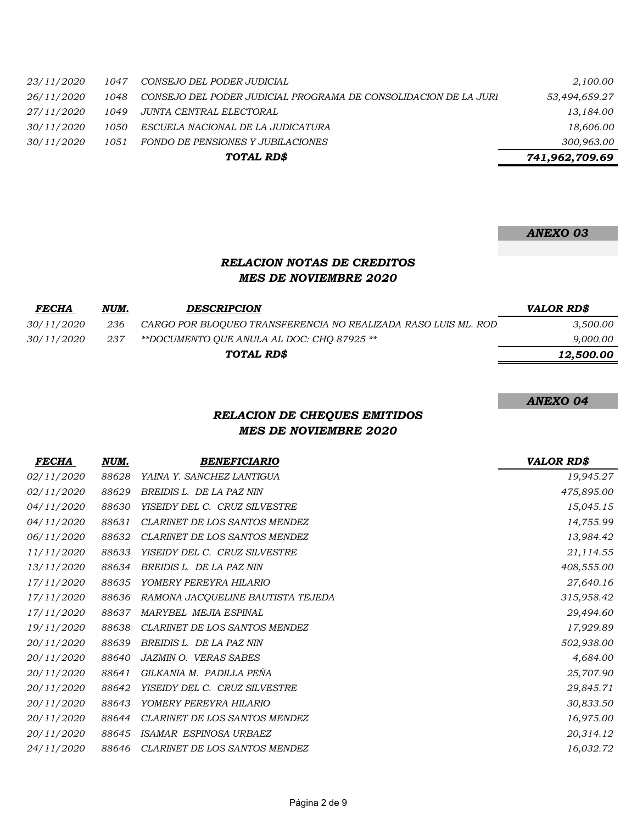|                           | TOTAL RD\$                                                      | 741,962,709.69 |
|---------------------------|-----------------------------------------------------------------|----------------|
| <i>30/11/2020</i><br>1051 | FONDO DE PENSIONES Y JUBILACIONES                               | 300,963.00     |
| <i>30/11/2020</i><br>1050 | ESCUELA NACIONAL DE LA JUDICATURA                               | 18,606.00      |
| 27/11/2020<br>1049        | JUNTA CENTRAL ELECTORAL                                         | 13,184.00      |
| 26/11/2020<br>1048        | CONSEJO DEL PODER JUDICIAL PROGRAMA DE CONSOLIDACION DE LA JURI | 53,494,659.27  |
| 23/11/2020<br>1047        | CONSEJO DEL PODER JUDICIAL                                      | 2,100.00       |
|                           |                                                                 |                |

# ANEXO 03

#### RELACION NOTAS DE CREDITOS MES DE NOVIEMBRE 2020

| <b>FECHA</b>      | NUM. | <b>DESCRIPCION</b>                                              | VALOR RD\$ |
|-------------------|------|-----------------------------------------------------------------|------------|
| <i>30/11/2020</i> | 236  | CARGO POR BLOQUEO TRANSFERENCIA NO REALIZADA RASO LUIS ML. ROD. | 3,500.00   |
| 30/11/2020        | -237 | **DOCUMENTO OUE ANULA AL DOC: CHO 87925 **                      | 9,000.00   |
|                   |      | TOTAL RD\$                                                      | 12,500.00  |
|                   |      |                                                                 |            |

#### ANEXO 04

# RELACION DE CHEQUES EMITIDOS MES DE NOVIEMBRE 2020

| <b>FECHA</b> | NUM.  | <b>BENEFICIARIO</b>               | <b>VALOR RD\$</b> |
|--------------|-------|-----------------------------------|-------------------|
| 02/11/2020   | 88628 | YAINA Y. SANCHEZ LANTIGUA         | 19,945.27         |
| 02/11/2020   | 88629 | BREIDIS L. DE LA PAZ NIN          | 475,895.00        |
| 04/11/2020   | 88630 | YISEIDY DEL C. CRUZ SILVESTRE     | 15,045.15         |
| 04/11/2020   | 88631 | CLARINET DE LOS SANTOS MENDEZ     | 14,755.99         |
| 06/11/2020   | 88632 | CLARINET DE LOS SANTOS MENDEZ     | 13,984.42         |
| 11/11/2020   | 88633 | YISEIDY DEL C. CRUZ SILVESTRE     | 21,114.55         |
| 13/11/2020   | 88634 | BREIDIS L. DE LA PAZ NIN          | 408,555.00        |
| 17/11/2020   | 88635 | YOMERY PEREYRA HILARIO            | 27,640.16         |
| 17/11/2020   | 88636 | RAMONA JACQUELINE BAUTISTA TEJEDA | 315,958.42        |
| 17/11/2020   | 88637 | MARYBEL MEJIA ESPINAL             | 29,494.60         |
| 19/11/2020   | 88638 | CLARINET DE LOS SANTOS MENDEZ     | 17,929.89         |
| 20/11/2020   | 88639 | BREIDIS L. DE LA PAZ NIN          | 502,938.00        |
| 20/11/2020   | 88640 | <b>JAZMIN O. VERAS SABES</b>      | 4,684.00          |
| 20/11/2020   | 88641 | GILKANIA M. PADILLA PEÑA          | 25,707.90         |
| 20/11/2020   | 88642 | YISEIDY DEL C. CRUZ SILVESTRE     | 29,845.71         |
| 20/11/2020   | 88643 | YOMERY PEREYRA HILARIO            | 30,833.50         |
| 20/11/2020   | 88644 | CLARINET DE LOS SANTOS MENDEZ     | 16,975.00         |
| 20/11/2020   | 88645 | ISAMAR ESPINOSA URBAEZ            | 20,314.12         |
| 24/11/2020   | 88646 | CLARINET DE LOS SANTOS MENDEZ     | 16,032.72         |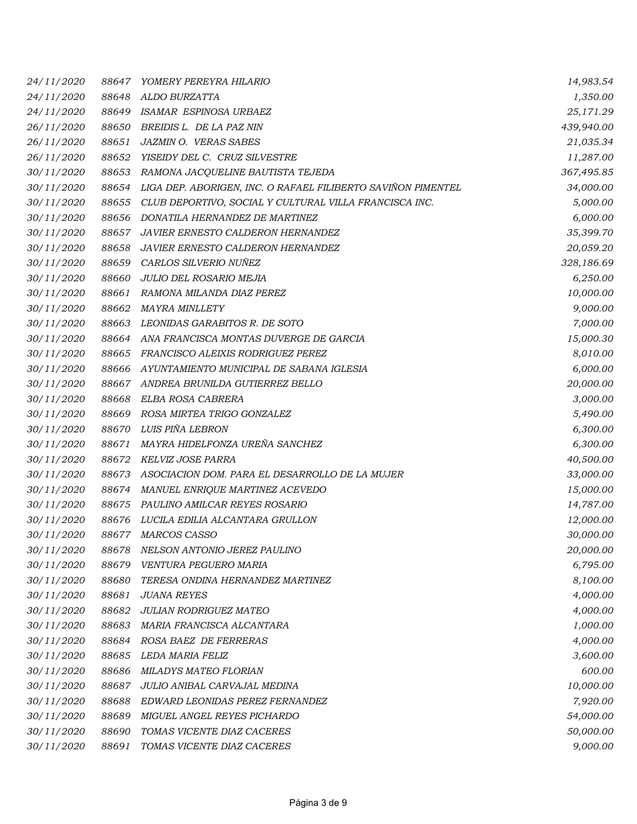| 24/11/2020 | 88647 | YOMERY PEREYRA HILARIO                                       | 14,983.54  |
|------------|-------|--------------------------------------------------------------|------------|
| 24/11/2020 | 88648 | ALDO BURZATTA                                                | 1,350.00   |
| 24/11/2020 | 88649 | ISAMAR ESPINOSA URBAEZ                                       | 25,171.29  |
| 26/11/2020 | 88650 | BREIDIS L. DE LA PAZ NIN                                     | 439,940.00 |
| 26/11/2020 | 88651 | <b>JAZMIN O. VERAS SABES</b>                                 | 21,035.34  |
| 26/11/2020 | 88652 | YISEIDY DEL C. CRUZ SILVESTRE                                | 11,287.00  |
| 30/11/2020 | 88653 | RAMONA JACQUELINE BAUTISTA TEJEDA                            | 367,495.85 |
| 30/11/2020 | 88654 | LIGA DEP. ABORIGEN, INC. O RAFAEL FILIBERTO SAVIÑON PIMENTEL | 34,000.00  |
| 30/11/2020 | 88655 | CLUB DEPORTIVO, SOCIAL Y CULTURAL VILLA FRANCISCA INC.       | 5,000.00   |
| 30/11/2020 | 88656 | DONATILA HERNANDEZ DE MARTINEZ                               | 6,000.00   |
| 30/11/2020 | 88657 | JAVIER ERNESTO CALDERON HERNANDEZ                            | 35,399.70  |
| 30/11/2020 | 88658 | JAVIER ERNESTO CALDERON HERNANDEZ                            | 20,059.20  |
| 30/11/2020 | 88659 | CARLOS SILVERIO NUÑEZ                                        | 328,186.69 |
| 30/11/2020 | 88660 | JULIO DEL ROSARIO MEJIA                                      | 6,250.00   |
| 30/11/2020 | 88661 | RAMONA MILANDA DIAZ PEREZ                                    | 10,000.00  |
| 30/11/2020 | 88662 | <b>MAYRA MINLLETY</b>                                        | 9,000.00   |
| 30/11/2020 | 88663 | LEONIDAS GARABITOS R. DE SOTO                                | 7,000.00   |
| 30/11/2020 | 88664 | ANA FRANCISCA MONTAS DUVERGE DE GARCIA                       | 15,000.30  |
| 30/11/2020 | 88665 | FRANCISCO ALEIXIS RODRIGUEZ PEREZ                            | 8,010.00   |
| 30/11/2020 | 88666 | AYUNTAMIENTO MUNICIPAL DE SABANA IGLESIA                     | 6,000.00   |
| 30/11/2020 | 88667 | ANDREA BRUNILDA GUTIERREZ BELLO                              | 20,000.00  |
| 30/11/2020 | 88668 | ELBA ROSA CABRERA                                            | 3,000.00   |
| 30/11/2020 | 88669 | ROSA MIRTEA TRIGO GONZALEZ                                   | 5,490.00   |
| 30/11/2020 | 88670 | LUIS PIÑA LEBRON                                             | 6,300.00   |
| 30/11/2020 | 88671 | MAYRA HIDELFONZA UREÑA SANCHEZ                               | 6,300.00   |
| 30/11/2020 | 88672 | KELVIZ JOSE PARRA                                            | 40,500.00  |
| 30/11/2020 | 88673 | ASOCIACION DOM. PARA EL DESARROLLO DE LA MUJER               | 33,000.00  |
| 30/11/2020 | 88674 | MANUEL ENRIQUE MARTINEZ ACEVEDO                              | 15,000.00  |
| 30/11/2020 | 88675 | PAULINO AMILCAR REYES ROSARIO                                | 14,787.00  |
| 30/11/2020 | 88676 | LUCILA EDILIA ALCANTARA GRULLON                              | 12,000.00  |
| 30/11/2020 | 88677 | <b>MARCOS CASSO</b>                                          | 30,000.00  |
| 30/11/2020 | 88678 | NELSON ANTONIO JEREZ PAULINO                                 | 20,000.00  |
| 30/11/2020 | 88679 | VENTURA PEGUERO MARIA                                        | 6,795.00   |
| 30/11/2020 | 88680 | TERESA ONDINA HERNANDEZ MARTINEZ                             | 8,100.00   |
| 30/11/2020 | 88681 | <b>JUANA REYES</b>                                           | 4,000.00   |
| 30/11/2020 | 88682 | JULIAN RODRIGUEZ MATEO                                       | 4,000.00   |
| 30/11/2020 | 88683 | MARIA FRANCISCA ALCANTARA                                    | 1,000.00   |
| 30/11/2020 | 88684 | ROSA BAEZ DE FERRERAS                                        | 4,000.00   |
| 30/11/2020 | 88685 | LEDA MARIA FELIZ                                             | 3,600.00   |
| 30/11/2020 | 88686 | <b>MILADYS MATEO FLORIAN</b>                                 | 600.00     |
| 30/11/2020 | 88687 | JULIO ANIBAL CARVAJAL MEDINA                                 | 10,000.00  |
| 30/11/2020 | 88688 | EDWARD LEONIDAS PEREZ FERNANDEZ                              | 7,920.00   |
| 30/11/2020 | 88689 | MIGUEL ANGEL REYES PICHARDO                                  | 54,000.00  |
| 30/11/2020 | 88690 | TOMAS VICENTE DIAZ CACERES                                   | 50,000.00  |
| 30/11/2020 | 88691 | TOMAS VICENTE DIAZ CACERES                                   | 9,000.00   |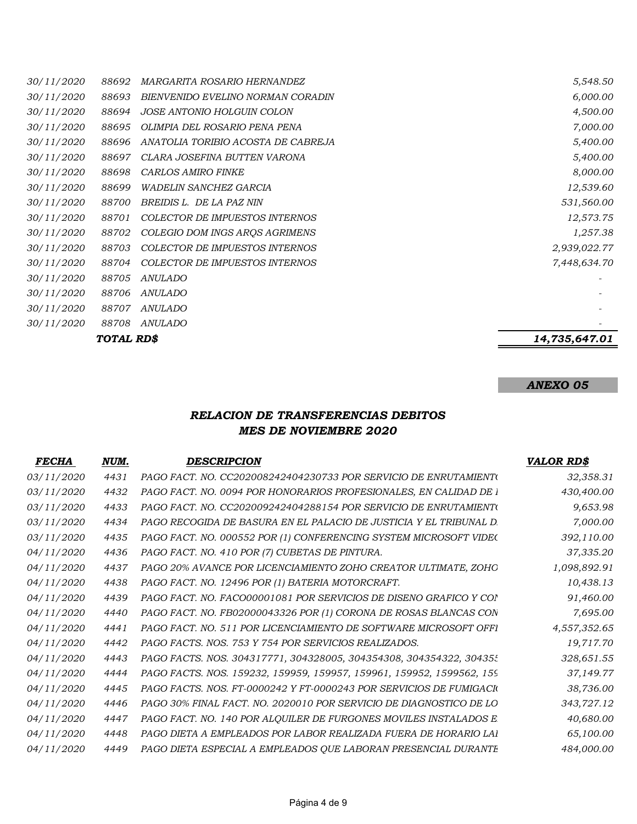|            | TOTAL RD\$ |                                    | 14,735,647.01 |
|------------|------------|------------------------------------|---------------|
| 30/11/2020 | 88708      | <i>ANULADO</i>                     |               |
| 30/11/2020 | 88707      | ANULADO                            |               |
| 30/11/2020 | 88706      | <b>ANULADO</b>                     |               |
| 30/11/2020 | 88705      | ANULADO                            |               |
| 30/11/2020 | 88704      | COLECTOR DE IMPUESTOS INTERNOS     | 7,448,634.70  |
| 30/11/2020 | 88703      | COLECTOR DE IMPUESTOS INTERNOS     | 2,939,022.77  |
| 30/11/2020 | 88702      | COLEGIO DOM INGS AROS AGRIMENS     | 1,257.38      |
| 30/11/2020 | 88701      | COLECTOR DE IMPUESTOS INTERNOS     | 12,573.75     |
| 30/11/2020 | 88700      | BREIDIS L. DE LA PAZ NIN           | 531,560.00    |
| 30/11/2020 | 88699      | <b>WADELIN SANCHEZ GARCIA</b>      | 12,539.60     |
| 30/11/2020 | 88698      | <b>CARLOS AMIRO FINKE</b>          | 8,000.00      |
| 30/11/2020 | 88697      | CLARA JOSEFINA BUTTEN VARONA       | 5,400.00      |
| 30/11/2020 | 88696      | ANATOLIA TORIBIO ACOSTA DE CABREJA | 5,400.00      |
| 30/11/2020 | 88695      | OLIMPIA DEL ROSARIO PENA PENA      | 7,000.00      |
| 30/11/2020 | 88694      | <i>JOSE ANTONIO HOLGUIN COLON</i>  | 4,500.00      |
| 30/11/2020 | 88693      | BIENVENIDO EVELINO NORMAN CORADIN  | 6,000.00      |
| 30/11/2020 | 88692      | <i>MARGARITA ROSARIO HERNANDEZ</i> | 5,548.50      |

## ANEXO 05

### RELACION DE TRANSFERENCIAS DEBITOS MES DE NOVIEMBRE 2020

| <b>FECHA</b>      | NUM. | <b>DESCRIPCION</b>                                                    | <b>VALOR RD\$</b> |
|-------------------|------|-----------------------------------------------------------------------|-------------------|
| 03/11/2020        | 4431 | PAGO FACT. NO. CC202008242404230733 POR SERVICIO DE ENRUTAMIENT(      | 32,358.31         |
| <i>03/11/2020</i> | 4432 | PAGO FACT. NO. 0094 POR HONORARIOS PROFESIONALES, EN CALIDAD DE 1     | 430,400.00        |
| <i>03/11/2020</i> | 4433 | PAGO FACT. NO. CC202009242404288154 POR SERVICIO DE ENRUTAMIENTO      | 9,653.98          |
| 03/11/2020        | 4434 | PAGO RECOGIDA DE BASURA EN EL PALACIO DE JUSTICIA Y EL TRIBUNAL D.    | 7,000.00          |
| <i>03/11/2020</i> | 4435 | PAGO FACT. NO. 000552 POR (1) CONFERENCING SYSTEM MICROSOFT VIDEO     | 392,110.00        |
| 04/11/2020        | 4436 | PAGO FACT. NO. 410 POR (7) CUBETAS DE PINTURA.                        | 37,335.20         |
| 04/11/2020        | 4437 | PAGO 20% AVANCE POR LICENCIAMIENTO ZOHO CREATOR ULTIMATE, ZOHO        | 1,098,892.91      |
| 04/11/2020        | 4438 | PAGO FACT. NO. 12496 POR (1) BATERIA MOTORCRAFT.                      | 10,438.13         |
| 04/11/2020        | 4439 | PAGO FACT. NO. FACO00001081 POR SERVICIOS DE DISENO GRAFICO Y CON     | 91,460.00         |
| 04/11/2020        | 4440 | PAGO FACT. NO. FB02000043326 POR (1) CORONA DE ROSAS BLANCAS CON      | 7,695.00          |
| 04/11/2020        | 4441 | PAGO FACT. NO. 511 POR LICENCIAMIENTO DE SOFTWARE MICROSOFT OFFI      | 4,557,352.65      |
| 04/11/2020        | 4442 | PAGO FACTS. NOS. 753 Y 754 POR SERVICIOS REALIZADOS.                  | 19,717.70         |
| 04/11/2020        | 4443 | PAGO FACTS. NOS. 304317771, 304328005, 304354308, 304354322, 304355   | 328,651.55        |
| 04/11/2020        | 4444 | PAGO FACTS. NOS. 159232, 159959, 159957, 159961, 159952, 1599562, 159 | 37,149.77         |
| 04/11/2020        | 4445 | PAGO FACTS. NOS. FT-0000242 Y FT-0000243 POR SERVICIOS DE FUMIGACIO   | 38,736.00         |
| 04/11/2020        | 4446 | PAGO 30% FINAL FACT. NO. 2020010 POR SERVICIO DE DIAGNOSTICO DE LO    | 343,727.12        |
| 04/11/2020        | 4447 | PAGO FACT. NO. 140 POR ALQUILER DE FURGONES MOVILES INSTALADOS E      | 40,680.00         |
| 04/11/2020        | 4448 | PAGO DIETA A EMPLEADOS POR LABOR REALIZADA FUERA DE HORARIO LAI       | 65,100.00         |
| 04/11/2020        | 4449 | PAGO DIETA ESPECIAL A EMPLEADOS QUE LABORAN PRESENCIAL DURANTE        | 484,000.00        |
|                   |      |                                                                       |                   |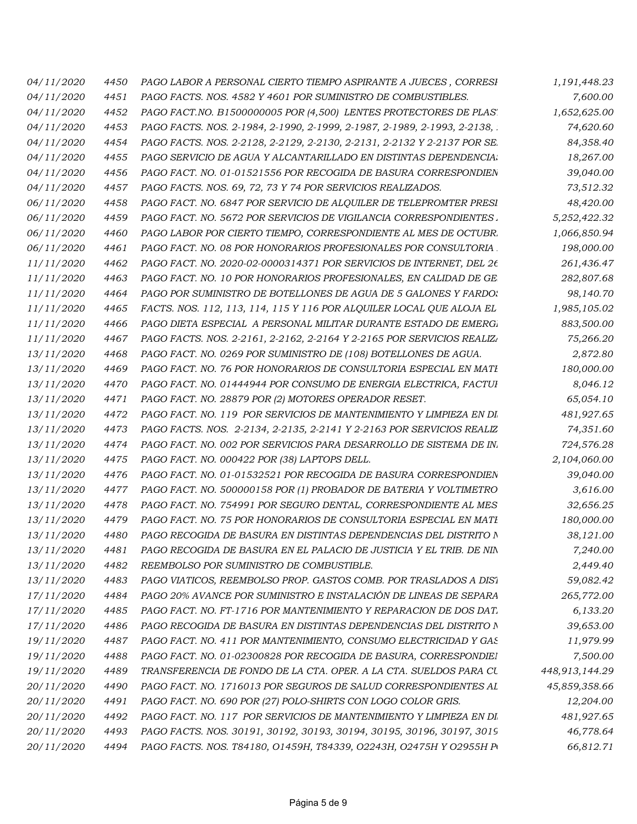| 04/11/2020        | 4450 | PAGO LABOR A PERSONAL CIERTO TIEMPO ASPIRANTE A JUECES, CORRESI          | 1,191,448.23   |
|-------------------|------|--------------------------------------------------------------------------|----------------|
| 04/11/2020        | 4451 | PAGO FACTS. NOS. 4582 Y 4601 POR SUMINISTRO DE COMBUSTIBLES.             | 7,600.00       |
| 04/11/2020        | 4452 | PAGO FACT. NO. B1500000005 POR (4,500) LENTES PROTECTORES DE PLAS'.      | 1,652,625.00   |
| 04/11/2020        | 4453 | PAGO FACTS. NOS. 2-1984, 2-1990, 2-1999, 2-1987, 2-1989, 2-1993, 2-2138, | 74,620.60      |
| 04/11/2020        | 4454 | PAGO FACTS. NOS. 2-2128, 2-2129, 2-2130, 2-2131, 2-2132 Y 2-2137 POR SE. | 84,358.40      |
| <i>04/11/2020</i> | 4455 | PAGO SERVICIO DE AGUA Y ALCANTARILLADO EN DISTINTAS DEPENDENCIA:         | 18,267.00      |
| <i>04/11/2020</i> | 4456 | PAGO FACT. NO. 01-01521556 POR RECOGIDA DE BASURA CORRESPONDIEN          | 39,040.00      |
| 04/11/2020        | 4457 | PAGO FACTS. NOS. 69, 72, 73 Y 74 POR SERVICIOS REALIZADOS.               | 73,512.32      |
| 06/11/2020        | 4458 | PAGO FACT. NO. 6847 POR SERVICIO DE ALQUILER DE TELEPROMTER PRESI        | 48,420.00      |
| 06/11/2020        | 4459 | PAGO FACT. NO. 5672 POR SERVICIOS DE VIGILANCIA CORRESPONDIENTES.        | 5,252,422.32   |
| 06/11/2020        | 4460 | PAGO LABOR POR CIERTO TIEMPO, CORRESPONDIENTE AL MES DE OCTUBR.          | 1,066,850.94   |
| 06/11/2020        | 4461 | PAGO FACT. NO. 08 POR HONORARIOS PROFESIONALES POR CONSULTORIA           | 198,000.00     |
| 11/11/2020        | 4462 | PAGO FACT. NO. 2020-02-0000314371 POR SERVICIOS DE INTERNET, DEL 26      | 261,436.47     |
| 11/11/2020        | 4463 | PAGO FACT. NO. 10 POR HONORARIOS PROFESIONALES, EN CALIDAD DE GE         | 282,807.68     |
| 11/11/2020        | 4464 | PAGO POR SUMINISTRO DE BOTELLONES DE AGUA DE 5 GALONES Y FARDO:          | 98,140.70      |
| 11/11/2020        | 4465 | FACTS. NOS. 112, 113, 114, 115 Y 116 POR ALQUILER LOCAL QUE ALOJA EL     | 1,985,105.02   |
| 11/11/2020        | 4466 | PAGO DIETA ESPECIAL A PERSONAL MILITAR DURANTE ESTADO DE EMERGI          | 883,500.00     |
| 11/11/2020        | 4467 | PAGO FACTS. NOS. 2-2161, 2-2162, 2-2164 Y 2-2165 POR SERVICIOS REALIZA   | 75,266.20      |
| 13/11/2020        | 4468 | PAGO FACT. NO. 0269 POR SUMINISTRO DE (108) BOTELLONES DE AGUA.          | 2,872.80       |
| 13/11/2020        | 4469 | PAGO FACT. NO. 76 POR HONORARIOS DE CONSULTORIA ESPECIAL EN MATI         | 180,000.00     |
| 13/11/2020        | 4470 | PAGO FACT. NO. 01444944 POR CONSUMO DE ENERGIA ELECTRICA, FACTUI         | 8,046.12       |
| 13/11/2020        | 4471 | PAGO FACT. NO. 28879 POR (2) MOTORES OPERADOR RESET.                     | 65,054.10      |
| 13/11/2020        | 4472 | PAGO FACT. NO. 119 POR SERVICIOS DE MANTENIMIENTO Y LIMPIEZA EN DI       | 481,927.65     |
| 13/11/2020        | 4473 | PAGO FACTS. NOS. 2-2134, 2-2135, 2-2141 Y 2-2163 POR SERVICIOS REALIZ    | 74,351.60      |
| 13/11/2020        | 4474 | PAGO FACT. NO. 002 POR SERVICIOS PARA DESARROLLO DE SISTEMA DE INI       | 724,576.28     |
| 13/11/2020        | 4475 | PAGO FACT. NO. 000422 POR (38) LAPTOPS DELL.                             | 2,104,060.00   |
| 13/11/2020        | 4476 | PAGO FACT. NO. 01-01532521 POR RECOGIDA DE BASURA CORRESPONDIEN          | 39,040.00      |
| 13/11/2020        | 4477 | PAGO FACT. NO. 500000158 POR (1) PROBADOR DE BATERIA Y VOLTIMETRO        | 3,616.00       |
| 13/11/2020        | 4478 | PAGO FACT. NO. 754991 POR SEGURO DENTAL, CORRESPONDIENTE AL MES          | 32,656.25      |
| 13/11/2020        | 4479 | PAGO FACT. NO. 75 POR HONORARIOS DE CONSULTORIA ESPECIAL EN MATI         | 180,000.00     |
| 13/11/2020        | 4480 | PAGO RECOGIDA DE BASURA EN DISTINTAS DEPENDENCIAS DEL DISTRITO N         | 38,121.00      |
| 13/11/2020        | 4481 | PAGO RECOGIDA DE BASURA EN EL PALACIO DE JUSTICIA Y EL TRIB. DE NIN      | 7,240.00       |
| 13/11/2020        | 4482 | REEMBOLSO POR SUMINISTRO DE COMBUSTIBLE.                                 | 2,449.40       |
| 13/11/2020        | 4483 | PAGO VIATICOS, REEMBOLSO PROP. GASTOS COMB. POR TRASLADOS A DIST         | 59,082.42      |
| 17/11/2020        | 4484 | PAGO 20% AVANCE POR SUMINISTRO E INSTALACIÓN DE LINEAS DE SEPARA         | 265,772.00     |
| 17/11/2020        | 4485 | PAGO FACT. NO. FT-1716 POR MANTENIMIENTO Y REPARACION DE DOS DAT.        | 6,133.20       |
| 17/11/2020        | 4486 | PAGO RECOGIDA DE BASURA EN DISTINTAS DEPENDENCIAS DEL DISTRITO N         | 39,653.00      |
| 19/11/2020        | 4487 | PAGO FACT. NO. 411 POR MANTENIMIENTO, CONSUMO ELECTRICIDAD Y GAS         | 11,979.99      |
| 19/11/2020        | 4488 | PAGO FACT. NO. 01-02300828 POR RECOGIDA DE BASURA, CORRESPONDIEI         | 7,500.00       |
| 19/11/2020        | 4489 | TRANSFERENCIA DE FONDO DE LA CTA. OPER. A LA CTA. SUELDOS PARA CU        | 448,913,144.29 |
| 20/11/2020        | 4490 | PAGO FACT. NO. 1716013 POR SEGUROS DE SALUD CORRESPONDIENTES AL          | 45,859,358.66  |
| 20/11/2020        | 4491 | PAGO FACT. NO. 690 POR (27) POLO-SHIRTS CON LOGO COLOR GRIS.             | 12,204.00      |
| 20/11/2020        | 4492 | PAGO FACT. NO. 117 POR SERVICIOS DE MANTENIMIENTO Y LIMPIEZA EN DI       | 481,927.65     |
| 20/11/2020        | 4493 | PAGO FACTS. NOS. 30191, 30192, 30193, 30194, 30195, 30196, 30197, 3019   | 46,778.64      |
| 20/11/2020        | 4494 | PAGO FACTS. NOS. T84180, O1459H, T84339, O2243H, O2475H Y O2955H P       | 66,812.71      |
|                   |      |                                                                          |                |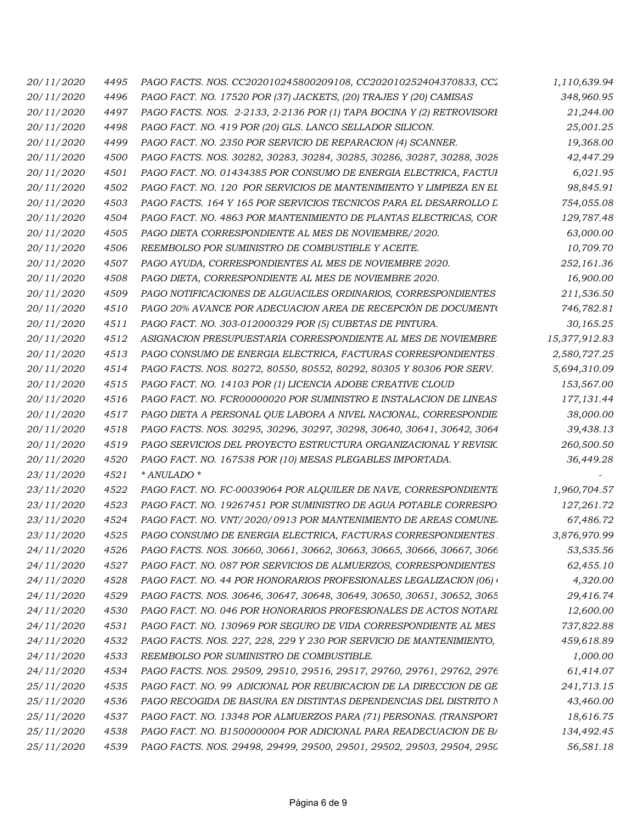| 20/11/2020 | 4495 | PAGO FACTS. NOS. CC202010245800209108, CC202010252404370833, CC2       | 1,110,639.94  |
|------------|------|------------------------------------------------------------------------|---------------|
| 20/11/2020 | 4496 | PAGO FACT. NO. 17520 POR (37) JACKETS, (20) TRAJES Y (20) CAMISAS      | 348,960.95    |
| 20/11/2020 | 4497 | PAGO FACTS. NOS. 2-2133, 2-2136 POR (1) TAPA BOCINA Y (2) RETROVISORI  | 21,244.00     |
| 20/11/2020 | 4498 | PAGO FACT. NO. 419 POR (20) GLS. LANCO SELLADOR SILICON.               | 25,001.25     |
| 20/11/2020 | 4499 | PAGO FACT. NO. 2350 POR SERVICIO DE REPARACION (4) SCANNER.            | 19,368.00     |
| 20/11/2020 | 4500 | PAGO FACTS. NOS. 30282, 30283, 30284, 30285, 30286, 30287, 30288, 3028 | 42,447.29     |
| 20/11/2020 | 4501 | PAGO FACT. NO. 01434385 POR CONSUMO DE ENERGIA ELECTRICA, FACTUI       | 6,021.95      |
| 20/11/2020 | 4502 | PAGO FACT. NO. 120 POR SERVICIOS DE MANTENIMIENTO Y LIMPIEZA EN EL     | 98,845.91     |
| 20/11/2020 | 4503 | PAGO FACTS. 164 Y 165 POR SERVICIOS TECNICOS PARA EL DESARROLLO L      | 754,055.08    |
| 20/11/2020 | 4504 | PAGO FACT. NO. 4863 POR MANTENIMIENTO DE PLANTAS ELECTRICAS. COR       | 129,787.48    |
| 20/11/2020 | 4505 | PAGO DIETA CORRESPONDIENTE AL MES DE NOVIEMBRE/2020.                   | 63,000.00     |
| 20/11/2020 | 4506 | REEMBOLSO POR SUMINISTRO DE COMBUSTIBLE Y ACEITE.                      | 10,709.70     |
| 20/11/2020 | 4507 | PAGO AYUDA, CORRESPONDIENTES AL MES DE NOVIEMBRE 2020.                 | 252,161.36    |
| 20/11/2020 | 4508 | PAGO DIETA, CORRESPONDIENTE AL MES DE NOVIEMBRE 2020.                  | 16,900.00     |
| 20/11/2020 | 4509 | PAGO NOTIFICACIONES DE ALGUACILES ORDINARIOS, CORRESPONDIENTES         | 211,536.50    |
| 20/11/2020 | 4510 | PAGO 20% AVANCE POR ADECUACION AREA DE RECEPCIÓN DE DOCUMENT(          | 746,782.81    |
| 20/11/2020 | 4511 | PAGO FACT. NO. 303-012000329 POR (5) CUBETAS DE PINTURA.               | 30,165.25     |
| 20/11/2020 | 4512 | ASIGNACION PRESUPUESTARIA CORRESPONDIENTE AL MES DE NOVIEMBRE          | 15,377,912.83 |
| 20/11/2020 | 4513 | PAGO CONSUMO DE ENERGIA ELECTRICA, FACTURAS CORRESPONDIENTES.          | 2,580,727.25  |
| 20/11/2020 | 4514 | PAGO FACTS. NOS. 80272, 80550, 80552, 80292, 80305 Y 80306 POR SERV.   | 5,694,310.09  |
| 20/11/2020 | 4515 | PAGO FACT. NO. 14103 POR (1) LICENCIA ADOBE CREATIVE CLOUD             | 153,567.00    |
| 20/11/2020 | 4516 | PAGO FACT. NO. FCR00000020 POR SUMINISTRO E INSTALACION DE LINEAS      | 177,131.44    |
| 20/11/2020 | 4517 | PAGO DIETA A PERSONAL QUE LABORA A NIVEL NACIONAL, CORRESPONDIE        | 38,000.00     |
| 20/11/2020 | 4518 | PAGO FACTS. NOS. 30295, 30296, 30297, 30298, 30640, 30641, 30642, 3064 | 39,438.13     |
| 20/11/2020 | 4519 | PAGO SERVICIOS DEL PROYECTO ESTRUCTURA ORGANIZACIONAL Y REVISIC        | 260,500.50    |
| 20/11/2020 | 4520 | PAGO FACT. NO. 167538 POR (10) MESAS PLEGABLES IMPORTADA.              | 36,449.28     |
| 23/11/2020 | 4521 | * ANULADO *                                                            |               |
| 23/11/2020 | 4522 | PAGO FACT. NO. FC-00039064 POR ALQUILER DE NAVE, CORRESPONDIENTE       | 1,960,704.57  |
| 23/11/2020 | 4523 | PAGO FACT. NO. 19267451 POR SUMINISTRO DE AGUA POTABLE CORRESPO.       | 127,261.72    |
| 23/11/2020 | 4524 | PAGO FACT. NO. VNT/2020/0913 POR MANTENIMIENTO DE AREAS COMUNE.        | 67,486.72     |
| 23/11/2020 | 4525 | PAGO CONSUMO DE ENERGIA ELECTRICA, FACTURAS CORRESPONDIENTES           | 3,876,970.99  |
| 24/11/2020 | 4526 | PAGO FACTS. NOS. 30660, 30661, 30662, 30663, 30665, 30666, 30667, 3066 | 53,535.56     |
| 24/11/2020 | 4527 | PAGO FACT. NO. 087 POR SERVICIOS DE ALMUERZOS, CORRESPONDIENTES        | 62,455.10     |
| 24/11/2020 | 4528 | PAGO FACT. NO. 44 POR HONORARIOS PROFESIONALES LEGALIZACION (06) \     | 4,320.00      |
| 24/11/2020 | 4529 | PAGO FACTS. NOS. 30646, 30647, 30648, 30649, 30650, 30651, 30652, 3065 | 29,416.74     |
| 24/11/2020 | 4530 | PAGO FACT. NO. 046 POR HONORARIOS PROFESIONALES DE ACTOS NOTARL        | 12,600.00     |
| 24/11/2020 | 4531 | PAGO FACT. NO. 130969 POR SEGURO DE VIDA CORRESPONDIENTE AL MES        | 737,822.88    |
| 24/11/2020 | 4532 | PAGO FACTS. NOS. 227, 228, 229 Y 230 POR SERVICIO DE MANTENIMIENTO,    | 459,618.89    |
| 24/11/2020 | 4533 | REEMBOLSO POR SUMINISTRO DE COMBUSTIBLE.                               | 1,000.00      |
| 24/11/2020 | 4534 | PAGO FACTS. NOS. 29509, 29510, 29516, 29517, 29760, 29761, 29762, 2976 | 61,414.07     |
| 25/11/2020 | 4535 | PAGO FACT. NO. 99 ADICIONAL POR REUBICACION DE LA DIRECCION DE GE      | 241,713.15    |
| 25/11/2020 | 4536 | PAGO RECOGIDA DE BASURA EN DISTINTAS DEPENDENCIAS DEL DISTRITO N       | 43,460.00     |
| 25/11/2020 | 4537 | PAGO FACT. NO. 13348 POR ALMUERZOS PARA (71) PERSONAS. (TRANSPORT      | 18,616.75     |
| 25/11/2020 | 4538 | PAGO FACT. NO. B1500000004 POR ADICIONAL PARA READECUACION DE B/       | 134,492.45    |
| 25/11/2020 | 4539 | PAGO FACTS. NOS. 29498, 29499, 29500, 29501, 29502, 29503, 29504, 2950 | 56,581.18     |
|            |      |                                                                        |               |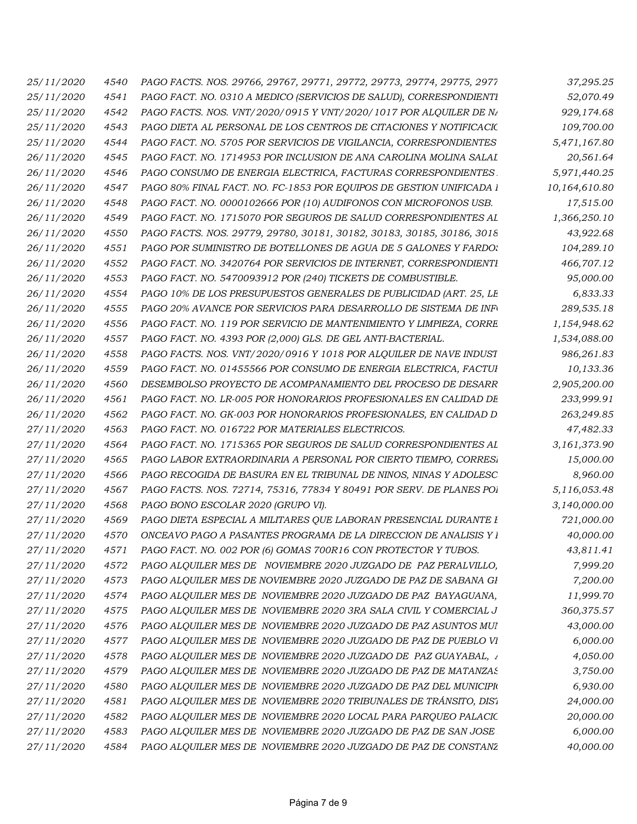| 25/11/2020        | 4540 | PAGO FACTS. NOS. 29766, 29767, 29771, 29772, 29773, 29774, 29775, 2977 | 37,295.25     |
|-------------------|------|------------------------------------------------------------------------|---------------|
| 25/11/2020        | 4541 | PAGO FACT. NO. 0310 A MEDICO (SERVICIOS DE SALUD), CORRESPONDIENTI     | 52,070.49     |
| <i>25/11/2020</i> | 4542 | PAGO FACTS. NOS. VNT/2020/0915 Y VNT/2020/1017 POR ALQUILER DE NA      | 929,174.68    |
| 25/11/2020        | 4543 | PAGO DIETA AL PERSONAL DE LOS CENTROS DE CITACIONES Y NOTIFICACIO      | 109,700.00    |
| 25/11/2020        | 4544 | PAGO FACT. NO. 5705 POR SERVICIOS DE VIGILANCIA, CORRESPONDIENTES      | 5,471,167.80  |
| 26/11/2020        | 4545 | PAGO FACT. NO. 1714953 POR INCLUSION DE ANA CAROLINA MOLINA SALAI      | 20,561.64     |
| 26/11/2020        | 4546 | PAGO CONSUMO DE ENERGIA ELECTRICA, FACTURAS CORRESPONDIENTES.          | 5,971,440.25  |
| 26/11/2020        | 4547 | PAGO 80% FINAL FACT. NO. FC-1853 POR EQUIPOS DE GESTION UNIFICADA 1    | 10,164,610.80 |
| 26/11/2020        | 4548 | PAGO FACT. NO. 0000102666 POR (10) AUDIFONOS CON MICROFONOS USB.       | 17,515.00     |
| 26/11/2020        | 4549 | PAGO FACT. NO. 1715070 POR SEGUROS DE SALUD CORRESPONDIENTES AL        | 1,366,250.10  |
| 26/11/2020        | 4550 | PAGO FACTS. NOS. 29779, 29780, 30181, 30182, 30183, 30185, 30186, 3018 | 43,922.68     |
| 26/11/2020        | 4551 | PAGO POR SUMINISTRO DE BOTELLONES DE AGUA DE 5 GALONES Y FARDO:        | 104,289.10    |
| 26/11/2020        | 4552 | PAGO FACT. NO. 3420764 POR SERVICIOS DE INTERNET, CORRESPONDIENTI      | 466,707.12    |
| 26/11/2020        | 4553 | PAGO FACT. NO. 5470093912 POR (240) TICKETS DE COMBUSTIBLE.            | 95,000.00     |
| 26/11/2020        | 4554 | PAGO 10% DE LOS PRESUPUESTOS GENERALES DE PUBLICIDAD (ART. 25, LE      | 6,833.33      |
| 26/11/2020        | 4555 | PAGO 20% AVANCE POR SERVICIOS PARA DESARROLLO DE SISTEMA DE INFO       | 289,535.18    |
| 26/11/2020        | 4556 | PAGO FACT. NO. 119 POR SERVICIO DE MANTENIMIENTO Y LIMPIEZA, CORRE     | 1,154,948.62  |
| 26/11/2020        | 4557 | PAGO FACT. NO. 4393 POR (2,000) GLS. DE GEL ANTI-BACTERIAL.            | 1,534,088.00  |
| 26/11/2020        | 4558 | PAGO FACTS. NOS. VNT/2020/0916 Y 1018 POR ALQUILER DE NAVE INDUST      | 986,261.83    |
| 26/11/2020        | 4559 | PAGO FACT. NO. 01455566 POR CONSUMO DE ENERGIA ELECTRICA, FACTUI       | 10,133.36     |
| 26/11/2020        | 4560 | DESEMBOLSO PROYECTO DE ACOMPANAMIENTO DEL PROCESO DE DESARR            | 2,905,200.00  |
| 26/11/2020        | 4561 | PAGO FACT. NO. LR-005 POR HONORARIOS PROFESIONALES EN CALIDAD DE       | 233,999.91    |
| 26/11/2020        | 4562 | PAGO FACT. NO. GK-003 POR HONORARIOS PROFESIONALES, EN CALIDAD D       | 263,249.85    |
| 27/11/2020        | 4563 | PAGO FACT. NO. 016722 POR MATERIALES ELECTRICOS.                       | 47,482.33     |
| 27/11/2020        | 4564 | PAGO FACT. NO. 1715365 POR SEGUROS DE SALUD CORRESPONDIENTES AL        | 3,161,373.90  |
| 27/11/2020        | 4565 | PAGO LABOR EXTRAORDINARIA A PERSONAL POR CIERTO TIEMPO, CORRESI        | 15,000.00     |
| 27/11/2020        | 4566 | PAGO RECOGIDA DE BASURA EN EL TRIBUNAL DE NINOS, NINAS Y ADOLESC       | 8,960.00      |
| 27/11/2020        | 4567 | PAGO FACTS. NOS. 72714, 75316, 77834 Y 80491 POR SERV. DE PLANES POI   | 5,116,053.48  |
| 27/11/2020        | 4568 | PAGO BONO ESCOLAR 2020 (GRUPO VI).                                     | 3,140,000.00  |
| <i>27/11/2020</i> | 4569 | PAGO DIETA ESPECIAL A MILITARES QUE LABORAN PRESENCIAL DURANTE I       | 721,000.00    |
| 27/11/2020        | 4570 | ONCEAVO PAGO A PASANTES PROGRAMA DE LA DIRECCION DE ANALISIS Y 1       | 40,000.00     |
| 27/11/2020        | 4571 | PAGO FACT. NO. 002 POR (6) GOMAS 700R16 CON PROTECTOR Y TUBOS.         | 43,811.41     |
| 27/11/2020        | 4572 | PAGO ALQUILER MES DE NOVIEMBRE 2020 JUZGADO DE PAZ PERALVILLO,         | 7,999.20      |
| 27/11/2020        | 4573 | PAGO ALQUILER MES DE NOVIEMBRE 2020 JUZGADO DE PAZ DE SABANA GI        | 7,200.00      |
| 27/11/2020        | 4574 | PAGO ALQUILER MES DE NOVIEMBRE 2020 JUZGADO DE PAZ BAYAGUANA,          | 11,999.70     |
| 27/11/2020        | 4575 | PAGO ALQUILER MES DE NOVIEMBRE 2020 3RA SALA CIVIL Y COMERCIAL J       | 360,375.57    |
| 27/11/2020        | 4576 | PAGO ALQUILER MES DE NOVIEMBRE 2020 JUZGADO DE PAZ ASUNTOS MUI         | 43,000.00     |
| 27/11/2020        | 4577 | PAGO ALQUILER MES DE NOVIEMBRE 2020 JUZGADO DE PAZ DE PUEBLO VI        | 6,000.00      |
| 27/11/2020        | 4578 | PAGO ALQUILER MES DE NOVIEMBRE 2020 JUZGADO DE PAZ GUAYABAL, 1         | 4,050.00      |
| 27/11/2020        | 4579 | PAGO ALQUILER MES DE NOVIEMBRE 2020 JUZGADO DE PAZ DE MATANZAS         | 3,750.00      |
| 27/11/2020        | 4580 | PAGO ALQUILER MES DE NOVIEMBRE 2020 JUZGADO DE PAZ DEL MUNICIPIO       | 6,930.00      |
| 27/11/2020        | 4581 | PAGO ALQUILER MES DE NOVIEMBRE 2020 TRIBUNALES DE TRÁNSITO, DIS1       | 24,000.00     |
| 27/11/2020        | 4582 | PAGO ALQUILER MES DE NOVIEMBRE 2020 LOCAL PARA PARQUEO PALACIC         | 20,000.00     |
| 27/11/2020        | 4583 | PAGO ALQUILER MES DE NOVIEMBRE 2020 JUZGADO DE PAZ DE SAN JOSE         | 6,000.00      |
| 27/11/2020        | 4584 | PAGO ALQUILER MES DE NOVIEMBRE 2020 JUZGADO DE PAZ DE CONSTANZ         | 40,000.00     |
|                   |      |                                                                        |               |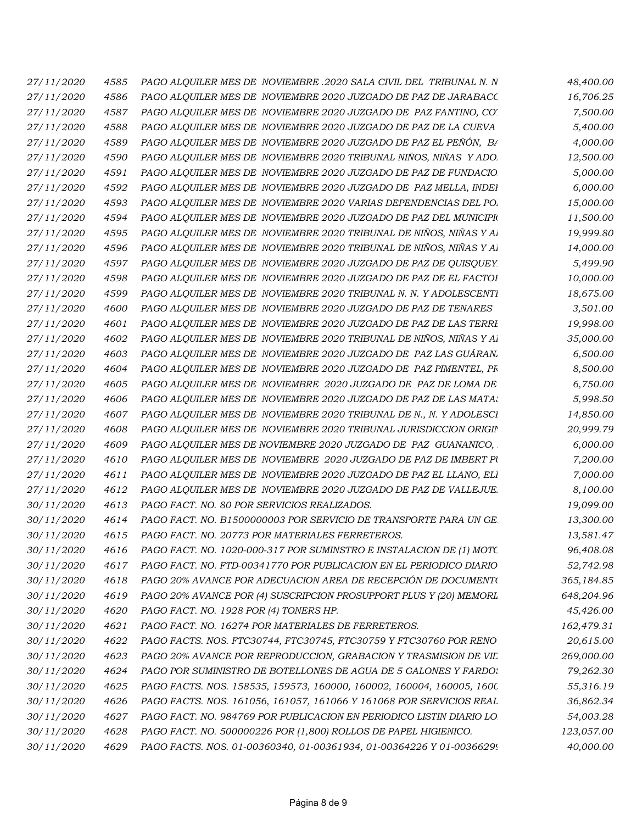| 27/11/2020 | 4585 | PAGO ALQUILER MES DE NOVIEMBRE .2020 SALA CIVIL DEL TRIBUNAL N. N     | 48,400.00  |
|------------|------|-----------------------------------------------------------------------|------------|
| 27/11/2020 | 4586 | PAGO ALQUILER MES DE NOVIEMBRE 2020 JUZGADO DE PAZ DE JARABACC        | 16,706.25  |
| 27/11/2020 | 4587 | PAGO ALQUILER MES DE NOVIEMBRE 2020 JUZGADO DE PAZ FANTINO, CO.       | 7,500.00   |
| 27/11/2020 | 4588 | PAGO ALQUILER MES DE NOVIEMBRE 2020 JUZGADO DE PAZ DE LA CUEVA        | 5,400.00   |
| 27/11/2020 | 4589 | PAGO ALQUILER MES DE NOVIEMBRE 2020 JUZGADO DE PAZ EL PEÑÓN, BA       | 4,000.00   |
| 27/11/2020 | 4590 | PAGO ALQUILER MES DE NOVIEMBRE 2020 TRIBUNAL NIÑOS, NIÑAS Y ADO.      | 12,500.00  |
| 27/11/2020 | 4591 | PAGO ALQUILER MES DE NOVIEMBRE 2020 JUZGADO DE PAZ DE FUNDACIO        | 5,000.00   |
| 27/11/2020 | 4592 | PAGO ALQUILER MES DE NOVIEMBRE 2020 JUZGADO DE PAZ MELLA, INDEI       | 6,000.00   |
| 27/11/2020 | 4593 | PAGO ALQUILER MES DE NOVIEMBRE 2020 VARIAS DEPENDENCIAS DEL PO.       | 15,000.00  |
| 27/11/2020 | 4594 | PAGO ALOUILER MES DE NOVIEMBRE 2020 JUZGADO DE PAZ DEL MUNICIPIO      | 11,500.00  |
| 27/11/2020 | 4595 | PAGO ALQUILER MES DE NOVIEMBRE 2020 TRIBUNAL DE NIÑOS, NIÑAS Y AI     | 19,999.80  |
| 27/11/2020 | 4596 | PAGO ALQUILER MES DE NOVIEMBRE 2020 TRIBUNAL DE NIÑOS, NIÑAS Y AI     | 14,000.00  |
| 27/11/2020 | 4597 | PAGO ALQUILER MES DE NOVIEMBRE 2020 JUZGADO DE PAZ DE QUISQUEY.       | 5,499.90   |
| 27/11/2020 | 4598 | PAGO ALQUILER MES DE NOVIEMBRE 2020 JUZGADO DE PAZ DE EL FACTOI       | 10,000.00  |
| 27/11/2020 | 4599 | PAGO ALQUILER MES DE NOVIEMBRE 2020 TRIBUNAL N. N. Y ADOLESCENTI      | 18,675.00  |
| 27/11/2020 | 4600 | PAGO ALQUILER MES DE NOVIEMBRE 2020 JUZGADO DE PAZ DE TENARES         | 3,501.00   |
| 27/11/2020 | 4601 | PAGO ALQUILER MES DE NOVIEMBRE 2020 JUZGADO DE PAZ DE LAS TERRI       | 19,998.00  |
| 27/11/2020 | 4602 | PAGO ALQUILER MES DE NOVIEMBRE 2020 TRIBUNAL DE NIÑOS, NIÑAS Y AI     | 35,000.00  |
| 27/11/2020 | 4603 | PAGO ALQUILER MES DE NOVIEMBRE 2020 JUZGADO DE PAZ LAS GUÁRAN.        | 6,500.00   |
| 27/11/2020 | 4604 | PAGO ALQUILER MES DE NOVIEMBRE 2020 JUZGADO DE PAZ PIMENTEL, PR       | 8,500.00   |
| 27/11/2020 | 4605 | PAGO ALQUILER MES DE NOVIEMBRE 2020 JUZGADO DE PAZ DE LOMA DE         | 6,750.00   |
| 27/11/2020 | 4606 | PAGO ALQUILER MES DE NOVIEMBRE 2020 JUZGADO DE PAZ DE LAS MATA:       | 5,998.50   |
| 27/11/2020 | 4607 | PAGO ALQUILER MES DE NOVIEMBRE 2020 TRIBUNAL DE N., N. Y ADOLESCI     | 14,850.00  |
| 27/11/2020 | 4608 | PAGO ALQUILER MES DE NOVIEMBRE 2020 TRIBUNAL JURISDICCION ORIGIN      | 20,999.79  |
| 27/11/2020 | 4609 | PAGO ALQUILER MES DE NOVIEMBRE 2020 JUZGADO DE PAZ GUANANICO,         | 6,000.00   |
| 27/11/2020 | 4610 | PAGO ALQUILER MES DE NOVIEMBRE 2020 JUZGADO DE PAZ DE IMBERT PU       | 7,200.00   |
| 27/11/2020 | 4611 | PAGO ALQUILER MES DE NOVIEMBRE 2020 JUZGADO DE PAZ EL LLANO, ELI      | 7,000.00   |
| 27/11/2020 | 4612 | PAGO ALOUILER MES DE NOVIEMBRE 2020 JUZGADO DE PAZ DE VALLEJUE.       | 8,100.00   |
| 30/11/2020 | 4613 | PAGO FACT. NO. 80 POR SERVICIOS REALIZADOS.                           | 19,099.00  |
| 30/11/2020 | 4614 | PAGO FACT. NO. B1500000003 POR SERVICIO DE TRANSPORTE PARA UN GE.     | 13,300.00  |
| 30/11/2020 | 4615 | PAGO FACT. NO. 20773 POR MATERIALES FERRETEROS.                       | 13,581.47  |
| 30/11/2020 | 4616 | PAGO FACT. NO. 1020-000-317 POR SUMINSTRO E INSTALACION DE (1) MOTC   | 96,408.08  |
| 30/11/2020 | 4617 | PAGO FACT. NO. FTD-00341770 POR PUBLICACION EN EL PERIODICO DIARIO    | 52,742.98  |
| 30/11/2020 | 4618 | PAGO 20% AVANCE POR ADECUACION AREA DE RECEPCIÓN DE DOCUMENT(         | 365,184.85 |
| 30/11/2020 | 4619 | PAGO 20% AVANCE POR (4) SUSCRIPCION PROSUPPORT PLUS Y (20) MEMORL     | 648,204.96 |
| 30/11/2020 | 4620 | PAGO FACT. NO. 1928 POR (4) TONERS HP.                                | 45,426.00  |
| 30/11/2020 | 4621 | PAGO FACT. NO. 16274 POR MATERIALES DE FERRETEROS.                    | 162,479.31 |
| 30/11/2020 | 4622 | PAGO FACTS. NOS. FTC30744, FTC30745, FTC30759 Y FTC30760 POR RENO     | 20,615.00  |
| 30/11/2020 | 4623 | PAGO 20% AVANCE POR REPRODUCCION, GRABACION Y TRASMISION DE VIL       | 269,000.00 |
| 30/11/2020 | 4624 | PAGO POR SUMINISTRO DE BOTELLONES DE AGUA DE 5 GALONES Y FARDO:       | 79,262.30  |
| 30/11/2020 | 4625 | PAGO FACTS. NOS. 158535, 159573, 160000, 160002, 160004, 160005, 1600 | 55,316.19  |
| 30/11/2020 | 4626 | PAGO FACTS. NOS. 161056, 161057, 161066 Y 161068 POR SERVICIOS REAL   | 36,862.34  |
| 30/11/2020 | 4627 | PAGO FACT. NO. 984769 POR PUBLICACION EN PERIODICO LISTIN DIARIO LO   | 54,003.28  |
| 30/11/2020 | 4628 | PAGO FACT. NO. 500000226 POR (1,800) ROLLOS DE PAPEL HIGIENICO.       | 123,057.00 |
| 30/11/2020 | 4629 | PAGO FACTS. NOS. 01-00360340, 01-00361934, 01-00364226 Y 01-00366299  | 40,000.00  |